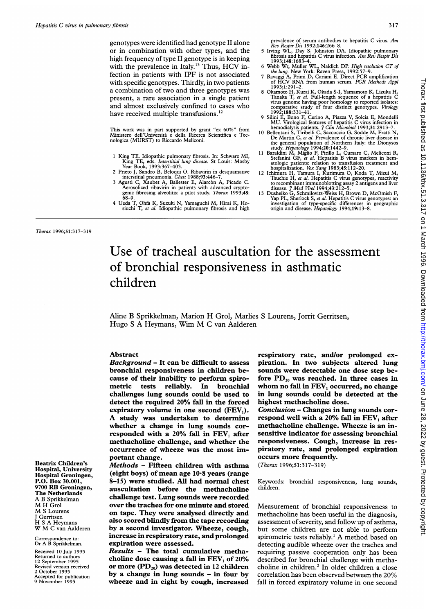genotypes were identified had genotype II alone or in combination with other types, and the high frequency of type II genotype is in keeping with the prevalence in Italy.<sup>13</sup> Thus, HCV infection in patients with IPF is not associated with specific genotypes. Thirdly, in two patients a combination of two and three genotypes was present, a rare association in a single patient and almost exclusively confined to cases who have received multiple transfusions.<sup>12</sup>

This work was in part supported by grant "ex-60%" from Ministero dell'Universita e della Ricerca Scientifica e Tecnologica (MURST) to Riccardo Meliconi.

- <sup>1</sup> King TE. Idiopathic pulmonary fibrosis. In: Schwarz MI, King TE, eds. *Interstitial lung disease*. St Louis: Mosby<br>Year Book, 1993:367–403.
- 2 Prieto J, Sandro B, Beloqui 0. Ribavirin in desquamative interstitial pneumonia. Chest 1988;93:446-7. 3 Agusti C, Xaubet A, Ballester E, Alarc6n A, Picado C.
- Aerosolized ribavirin in patients with advanced crypto-genic fibrosing alveolitis: a pilot study. Thorax 1993;48:
- 68-9. 4 Ueda T, Ohfa K, Suzuki N, Yamaguchi M, Hirai K, Hosiuchi T, et al. Idiopathic pulmonary fibrosis and high

- prevalence of serum antibodies to hepatitis C virus. Am<br>
Rev Respir Dis 1992;146:266-8.<br>
5 Irving WL, Day S, Johnston DA. Idiopathic pulmonary<br>
fibrosis and hepatitis C virus infection. Am Rev Respir Dis<br>
1993;148:1683-4.<br>
- 
- 
- 1993;1:291-2.<br>8 Okamoto H, Kurai K, Okada S-I, Yamamoto K, Lizuka H, Tanaka T, et al. Full-length sequence of a hepatitis C virus genome having poor homology to reported isolates:<br>comparative study of four distinct genoty
- 1992;188:351-41.<br>
Silini E, Bono F, Cerino A, Piazza V, Solcia E, Mondelli<br>
MU. Virological features of hepatitis C virus infection in<br>
hemodialysis patients. *J Clin Microbiol* 1993;31:2913-7.<br>
10 Bellentan S, Tribelli C
- 
- the general population of Northern Italy: the Dionysos<br>study. Hepatology 1994;20:1442-9.<br>Baraldini M, Miglio F, Pirillo L, Cursaro C, Meliconi R,<br>Stefanini GF, et al. Hepatitis B virus markers in hem-
- atologic patients: relation to transfusion treatment and<br>hospitalization. *Vox Sang* 1983;45:112-20.<br>Ichimura H, Tamura I, Kurimura 0, Koda T, Mizui M,<br>Tsuchie H, *et al.* Hepatitis C virus genotypes, reactivity
- to recombinant immunobletting assay 2 antigens and liver<br>disease. *J Med Virol* 1994;43:212-5.<br>13 Dusheiko G, Schmilovitz-Weiss H, Brown D, McOmish F,<br>Yap PL, Sherlock S, *et al.* Hepatitis C virus genotypes: an<br>investiga

### Thorax 1996;51:317-319

Beatrix Children's Hospital, University Hospital Groningen, P.O. Box 30.001, <sup>9700</sup> RB Groningen, The Netherlands A B Sprikkelman M H Grol M <sup>S</sup> Lourens Gerritsen H <sup>S</sup> A Heymans W M <sup>C</sup> van Aalderen Correspondence to: Dr A B Sprikkelman. Received 10 July 1995 Returned to autho 12 September 1995 Revised version received 2 October 1995 Accepted for publication 9 November 1995

# Use of tracheal auscultation for the assessment of bronchial responsiveness in asthmatic children

Aline B Sprikkelman, Marion H Grol, Marlies <sup>S</sup> Lourens, Jorrit Gerritsen, Hugo <sup>S</sup> A Heymans, Wim M <sup>C</sup> van Aalderen

# Abstract

Background - It can be difficult to assess bronchial responsiveness in children because of their inability to perform spirometric tests reliably. In bronchial challenges lung sounds could be used to detect the required 20% fall in the forced expiratory volume in one second  $(FEV_1)$ . A study was undertaken to determine whether a change in lung sounds corresponded with a 20% fall in FEV, after methacholine challenge, and whether the occurrence of wheeze was the most important change.

Methods - Fifteen children with asthma (eight boys) of mean age 10-8 years (range 8-15) were studied. All had normal chest auscultation before the methacholine challenge test. Lung sounds were recorded over the trachea for one minute and stored on tape. They were analysed directly and also scored blindly from the tape recording by a second investigator. Wheeze, cough, increase in respiratory rate, and prolonged expiration were assessed.

Results - The total cumulative methacholine dose causing a fall in  $FEV<sub>1</sub>$  of 20% or more  $(PD_{20})$  was detected in 12 children by a change in lung sounds - in four by wheeze and in eight by cough, increased respiratory rate, and/or prolonged expiration. In two subjects altered lung sounds were detectable one dose step before  $PD_{20}$  was reached. In three cases in whom no fall in FEV, occurred, no change in lung sounds could be detected at the highest methacholine dose.

Conclusion - Changes in lung sounds correspond well with a  $20\%$  fall in  $FEV<sub>1</sub>$  after methacholine challenge. Wheeze is an insensitive indicator for assessing bronchial responsiveness. Cough, increase in respiratory rate, and prolonged expiration occurs more frequently.

(Thorax 1996;51:317-319)

Keywords: bronchial responsiveness, lung sounds, children.

Measurement of bronchial responsiveness to methacholine has been useful in the diagnosis, assessment of severity, and follow up of asthma, but some children are not able to perform spirometric tests reliably.' A method based on detecting audible wheeze over the trachea and requiring passive cooperation only has been described for bronchial challenge with methacholine in children.2 In older children a close correlation has been observed between the 20% fall in forced expiratory volume in one second

317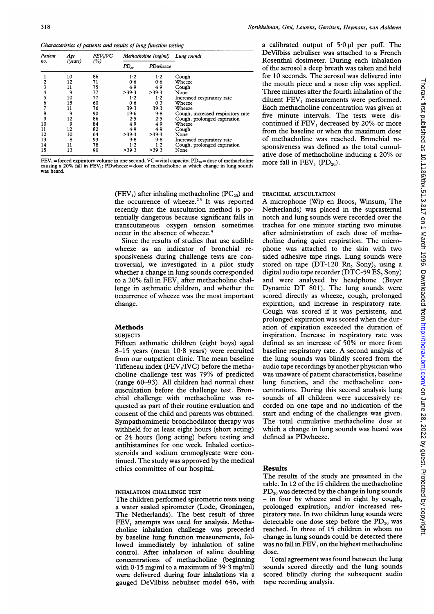Characteristics of patients and results of lung function testing

| Patient<br>no. | Age<br>(vears) | <i>FEV,IVC</i><br>(%) | Methacholine (mg/ml) |          | Lung sounds                       |
|----------------|----------------|-----------------------|----------------------|----------|-----------------------------------|
|                |                |                       | $PD_{20}$            | PDwheeze |                                   |
|                | 10             | 86                    | 1.2                  | $1-2$    | Cough                             |
| 2              | 12             | 71                    | 0.6                  | 0.6      | Wheeze                            |
| 3              | 11             | 75                    | 4.9                  | 4.9      | Cough                             |
| 4              | 9              | 77                    | >39.3                | >39.3    | None                              |
| 5              | 10             | 77                    | $1-2$                | $1-2$    | Increased respiratory rate        |
| 6              | 15             | 60                    | 0.6                  | 0.3      | Wheeze                            |
|                | 11             | 76                    | 39.3                 | 39.3     | Wheeze                            |
| 8              | 9              | 90                    | 19.6                 | 9.8      | Cough, increased respiratory rate |
| 9              | 12             | 86                    | 2.5                  | 2.5      | Cough, prolonged expiration       |
| 10             | 9              | 84                    | 4.9                  | 4.9      | Wheeze                            |
| 11             | 12             | 82                    | 4.9                  | 4.9      | Cough                             |
| 12             | 10             | 64                    | >39.3                | >39.3    | None                              |
| 13             | 8              | 93                    | 9.8                  | 9.8      | Increased respiratory rate        |
| 14             | 11             | 78                    | 1·2                  | 1.2      | Cough, prolonged expiration       |
| 15             | 13             | 90                    | >39.3                | >39.3    | None                              |

FEV<sub>1</sub> = forced expiratory volume in one second; VC = vital capacity; PD<sub>20</sub> = dose of methacholine causing a 20% fall in FEV<sub>1</sub>; PDwheeze = dose of methacholine at which change in lung sounds was heard.

> (FEV<sub>1</sub>) after inhaling methacholine ( $PC_{20}$ ) and the occurrence of wheeze. $23$  It was reported recently that the auscultation method is potentially dangerous because significant falls in transcutaneous oxygen tension sometimes occur in the absence of wheeze.<sup>4</sup>

> Since the results of studies that use audible wheeze as an indicator of bronchial responsiveness during challenge tests are controversial, we investigated in a pilot study whether a change in lung sounds corresponded to <sup>a</sup> 20% fall in FEV, after methacholine challenge in asthmatic children, and whether the occurrence of wheeze was the most important change.

# Methods

#### **SUBJECTS**

Fifteen asthmatic children (eight boys) aged 8-15 years (mean 10-8 years) were recruited from our outpatient clinic. The mean baseline Tiffeneau index (FEV<sub>1</sub>/IVC) before the methacholine challenge test was 79% of predicted (range 60-93). All children had normal chest auscultation before the challenge test. Bronchial challenge with methacholine was requested as part of their routine evaluation and consent of the child and parents was obtained. Sympathomimetic bronchodilator therapy was withheld for at least eight hours (short acting) or 24 hours (long acting) before testing and antihistamines for one week. Inhaled corticosteroids and sodium cromoglycate were continued. The study was approved by the medical ethics committee of our hospital.

# INHALATION CHALLENGE TEST

The children performed spirometric tests using a water sealed spirometer (Lode, Groningen, The Netherlands). The best result of three FEV, attempts was used for analysis. Methacholine inhalation challenge was preceded by baseline lung function measurements, followed immediately by inhalation of saline control. After inhalation of saline doubling concentrations of methacholine (beginning with  $0.15$  mg/ml to a maximum of  $39.3$  mg/ml) were delivered during four inhalations via a gauged DeVilbiss nebuliser model 646, with

a calibrated output of  $5.0 \mu l$  per puff. The DeVilbiss nebuliser was attached to a French Rosenthal dosimeter. During each inhalation of the aerosol a deep breath was taken and held for 10 seconds. The aerosol was delivered into the mouth piece and a nose clip was applied. Three minutes after the fourth inhalation of the diluent  $FEV<sub>1</sub>$  measurements were performed. Each methacholine concentration was given at five minute intervals. The tests were discontinued if FEV, decreased by 20% or more from the baseline or when the maximum dose of methacholine was reached. Bronchial responsiveness was defined as the total cumulative dose of methacholine inducing <sup>a</sup> 20% or more fall in  $FEV_1$  ( $PD_{20}$ ).

#### TRACHEAL AUSCULTATION

A microphone (Wip en Broos, Winsum, The Netherlands) was placed in the suprasternal notch and lung sounds were recorded over the trachea for one minute starting two minutes after administration of each dose of methacholine during quiet respiration. The microphone was attached to the skin with two sided adhesive tape rings. Lung sounds were stored on tape (DT-120 Rn, Sony), using a digital audio tape recorder (DTC-59 ES, Sony) and were analysed by headphone (Beyer Dynamic DT 801). The lung sounds were scored directly as wheeze, cough, prolonged expiration, and increase in respiratory rate. Cough was scored if it was persistent, and prolonged expiration was scored when the duration of expiration exceeded the duration of inspiration. Increase in respiratory rate was defined as an increase of 50% or more from baseline respiratory rate. A second analysis of the lung sounds was blindly scored from the audio tape recordings by another physician who was unaware of patient characteristics, baseline lung function, and the methacholine concentrations. During this second analysis lung sounds of all children were successively recorded on one tape and no indication of the start and ending of the challenges was given. The total cumulative methacholine dose at which a change in lung sounds was heard was defined as PDwheeze.

#### Results

The results of the study are presented in the table. In 12 of the 15 children the methacholine  $PD_{20}$  was detected by the change in lung sounds - in four by wheeze and in eight by cough, prolonged expiration, and/or increased respiratory rate. In two children lung sounds were detectable one dose step before the  $PD_{20}$  was reached. In three of <sup>15</sup> children in whom no change in lung sounds could be detected there was no fall in  $FEV<sub>1</sub>$  on the highest methacholine dose.

Total agreement was found between the lung sounds scored directly and the lung sounds scored blindly during the subsequent audio tape recording analysis.